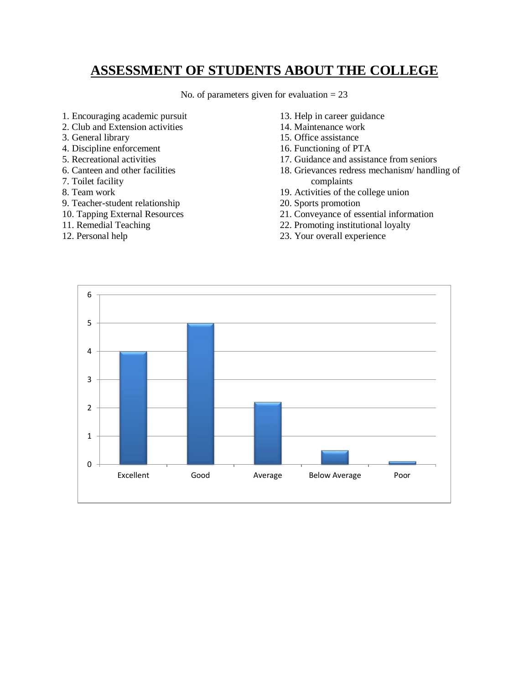# **ASSESSMENT OF STUDENTS ABOUT THE COLLEGE**

No. of parameters given for evaluation  $= 23$ 

- 1. Encouraging academic pursuit
- 2. Club and Extension activities
- 3. General library
- 4. Discipline enforcement
- 5. Recreational activities
- 6. Canteen and other facilities
- 7. Toilet facility
- 8. Team work
- 9. Teacher-student relationship
- 10. Tapping External Resources
- 11. Remedial Teaching
- 12. Personal help
- 13. Help in career guidance
- 14. Maintenance work
- 15. Office assistance
- 16. Functioning of PTA
- 17. Guidance and assistance from seniors
- 18. Grievances redress mechanism/ handling of complaints
- 19. Activities of the college union
- 20. Sports promotion
- 21. Conveyance of essential information
- 22. Promoting institutional loyalty
- 23. Your overall experience

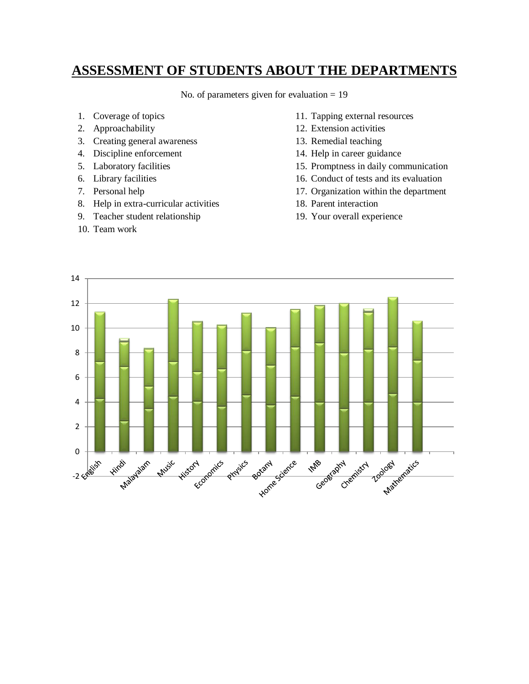## **ASSESSMENT OF STUDENTS ABOUT THE DEPARTMENTS**

No. of parameters given for evaluation = 19

- 1. Coverage of topics
- 2. Approachability
- 3. Creating general awareness
- 4. Discipline enforcement
- 5. Laboratory facilities
- 6. Library facilities
- 7. Personal help
- 8. Help in extra-curricular activities
- 9. Teacher student relationship
- 10. Team work
- 11. Tapping external resources
- 12. Extension activities
- 13. Remedial teaching
- 14. Help in career guidance
- 15. Promptness in daily communication
- 16. Conduct of tests and its evaluation
- 17. Organization within the department
- 18. Parent interaction
- 19. Your overall experience

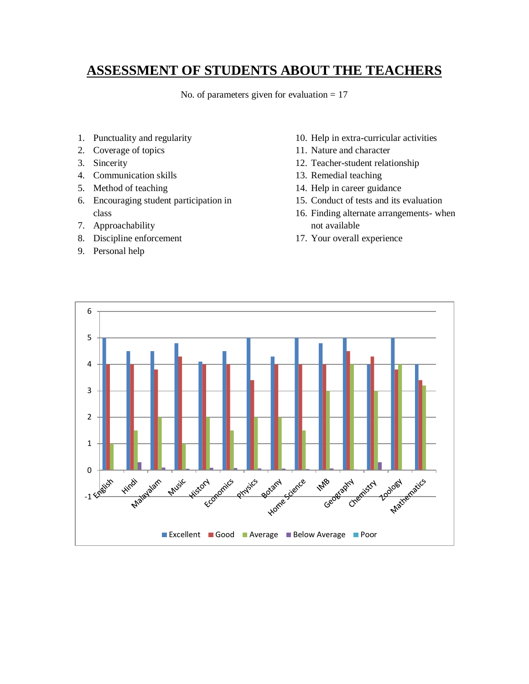# **ASSESSMENT OF STUDENTS ABOUT THE TEACHERS**

No. of parameters given for evaluation  $= 17$ 

- 1. Punctuality and regularity
- 2. Coverage of topics
- 3. Sincerity
- 4. Communication skills
- 5. Method of teaching
- 6. Encouraging student participation in class
- 7. Approachability
- 8. Discipline enforcement
- 9. Personal help
- 10. Help in extra-curricular activities
- 11. Nature and character
- 12. Teacher-student relationship
- 13. Remedial teaching
- 14. Help in career guidance
- 15. Conduct of tests and its evaluation
- 16. Finding alternate arrangements- when not available
- 17. Your overall experience

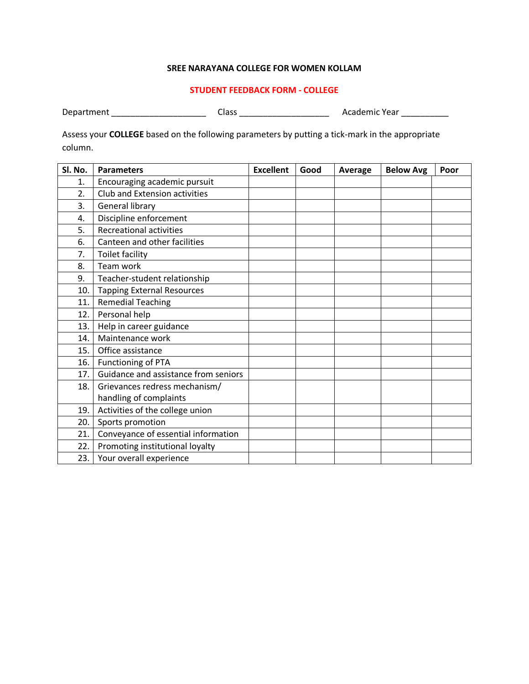#### **STUDENT FEEDBACK FORM - COLLEGE**

Department \_\_\_\_\_\_\_\_\_\_\_\_\_\_\_\_\_\_\_\_\_\_\_\_\_\_\_\_\_Class \_\_\_\_\_\_\_\_\_\_\_\_\_\_\_\_\_\_\_\_\_\_\_\_\_\_\_\_\_\_\_\_\_\_ Academic Year \_\_\_\_\_\_\_\_\_\_\_\_\_\_

Assess your **COLLEGE** based on the following parameters by putting a tick-mark in the appropriate column.

| Sl. No. | <b>Parameters</b>                    | <b>Excellent</b> | Good | Average | <b>Below Avg</b> | Poor |
|---------|--------------------------------------|------------------|------|---------|------------------|------|
| 1.      | Encouraging academic pursuit         |                  |      |         |                  |      |
| 2.      | <b>Club and Extension activities</b> |                  |      |         |                  |      |
| 3.      | General library                      |                  |      |         |                  |      |
| 4.      | Discipline enforcement               |                  |      |         |                  |      |
| 5.      | <b>Recreational activities</b>       |                  |      |         |                  |      |
| 6.      | Canteen and other facilities         |                  |      |         |                  |      |
| 7.      | <b>Toilet facility</b>               |                  |      |         |                  |      |
| 8.      | Team work                            |                  |      |         |                  |      |
| 9.      | Teacher-student relationship         |                  |      |         |                  |      |
| 10.     | <b>Tapping External Resources</b>    |                  |      |         |                  |      |
| 11.     | <b>Remedial Teaching</b>             |                  |      |         |                  |      |
| 12.     | Personal help                        |                  |      |         |                  |      |
| 13.     | Help in career guidance              |                  |      |         |                  |      |
| 14.     | Maintenance work                     |                  |      |         |                  |      |
| 15.     | Office assistance                    |                  |      |         |                  |      |
| 16.     | Functioning of PTA                   |                  |      |         |                  |      |
| 17.     | Guidance and assistance from seniors |                  |      |         |                  |      |
| 18.     | Grievances redress mechanism/        |                  |      |         |                  |      |
|         | handling of complaints               |                  |      |         |                  |      |
| 19.     | Activities of the college union      |                  |      |         |                  |      |
| 20.     | Sports promotion                     |                  |      |         |                  |      |
| 21.     | Conveyance of essential information  |                  |      |         |                  |      |
| 22.     | Promoting institutional loyalty      |                  |      |         |                  |      |
| 23.     | Your overall experience              |                  |      |         |                  |      |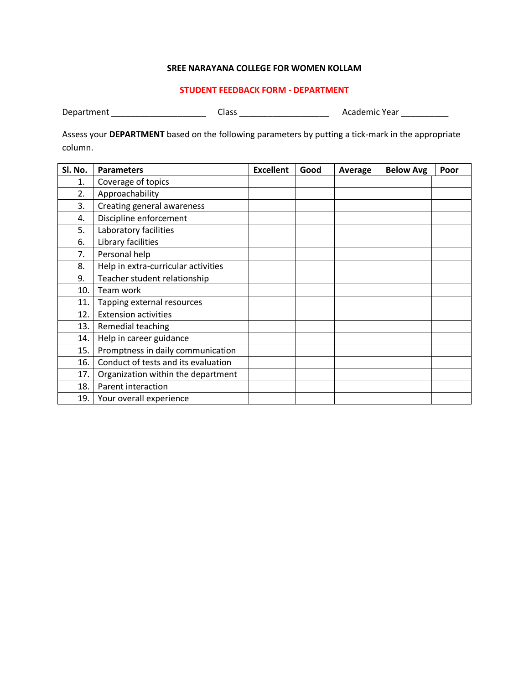#### **STUDENT FEEDBACK FORM - DEPARTMENT**

| Department | Iner<br>-id> | Academic Year |
|------------|--------------|---------------|
|------------|--------------|---------------|

Assess your **DEPARTMENT** based on the following parameters by putting a tick-mark in the appropriate column.

| Sl. No. | <b>Parameters</b>                   | <b>Excellent</b> | Good | Average | <b>Below Avg</b> | Poor |
|---------|-------------------------------------|------------------|------|---------|------------------|------|
| 1.      | Coverage of topics                  |                  |      |         |                  |      |
| 2.      | Approachability                     |                  |      |         |                  |      |
| 3.      | Creating general awareness          |                  |      |         |                  |      |
| 4.      | Discipline enforcement              |                  |      |         |                  |      |
| 5.      | Laboratory facilities               |                  |      |         |                  |      |
| 6.      | Library facilities                  |                  |      |         |                  |      |
| 7.      | Personal help                       |                  |      |         |                  |      |
| 8.      | Help in extra-curricular activities |                  |      |         |                  |      |
| 9.      | Teacher student relationship        |                  |      |         |                  |      |
| 10.     | Team work                           |                  |      |         |                  |      |
| 11.     | Tapping external resources          |                  |      |         |                  |      |
| 12.     | <b>Extension activities</b>         |                  |      |         |                  |      |
| 13.     | Remedial teaching                   |                  |      |         |                  |      |
| 14.     | Help in career guidance             |                  |      |         |                  |      |
| 15.     | Promptness in daily communication   |                  |      |         |                  |      |
| 16.     | Conduct of tests and its evaluation |                  |      |         |                  |      |
| 17.     | Organization within the department  |                  |      |         |                  |      |
| 18.     | Parent interaction                  |                  |      |         |                  |      |
| 19.     | Your overall experience             |                  |      |         |                  |      |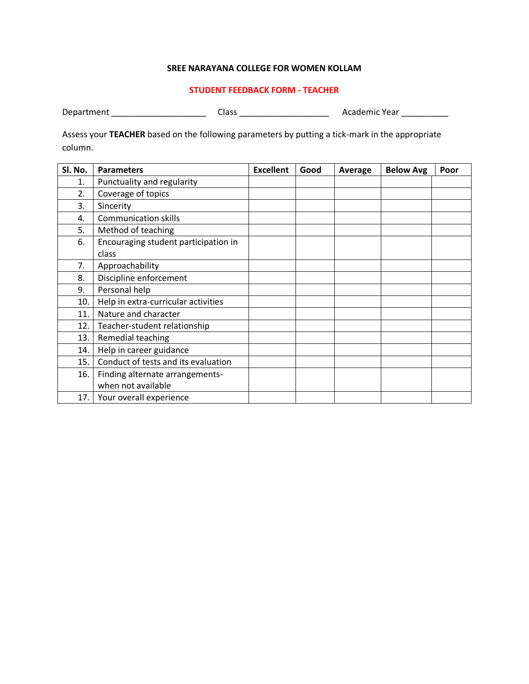### **STUDENT FEEDBACK FORM - TEACHER**

Department \_\_\_\_\_\_\_\_\_\_\_\_\_\_\_\_\_\_\_\_\_\_\_\_\_\_\_\_\_Class \_\_\_\_\_\_\_\_\_\_\_\_\_\_\_\_\_\_\_\_\_\_\_\_\_\_\_\_\_\_\_\_\_\_ Academic Year \_\_\_\_\_\_\_\_\_\_\_\_\_\_

Assess your **TEACHER** based on the following parameters by putting a tick-mark in the appropriate column.

| Sl. No. | <b>Parameters</b>                    | <b>Excellent</b> | Good | Average | <b>Below Avg</b> | Poor |
|---------|--------------------------------------|------------------|------|---------|------------------|------|
| 1.      | Punctuality and regularity           |                  |      |         |                  |      |
| 2.      | Coverage of topics                   |                  |      |         |                  |      |
| 3.      | Sincerity                            |                  |      |         |                  |      |
| 4.      | <b>Communication skills</b>          |                  |      |         |                  |      |
| 5.      | Method of teaching                   |                  |      |         |                  |      |
| 6.      | Encouraging student participation in |                  |      |         |                  |      |
|         | class                                |                  |      |         |                  |      |
| 7.      | Approachability                      |                  |      |         |                  |      |
| 8.      | Discipline enforcement               |                  |      |         |                  |      |
| 9.      | Personal help                        |                  |      |         |                  |      |
| 10.     | Help in extra-curricular activities  |                  |      |         |                  |      |
| 11.     | Nature and character                 |                  |      |         |                  |      |
| 12.     | Teacher-student relationship         |                  |      |         |                  |      |
| 13.     | Remedial teaching                    |                  |      |         |                  |      |
| 14.     | Help in career guidance              |                  |      |         |                  |      |
| 15.     | Conduct of tests and its evaluation  |                  |      |         |                  |      |
| 16.     | Finding alternate arrangements-      |                  |      |         |                  |      |
|         | when not available                   |                  |      |         |                  |      |
| 17.     | Your overall experience              |                  |      |         |                  |      |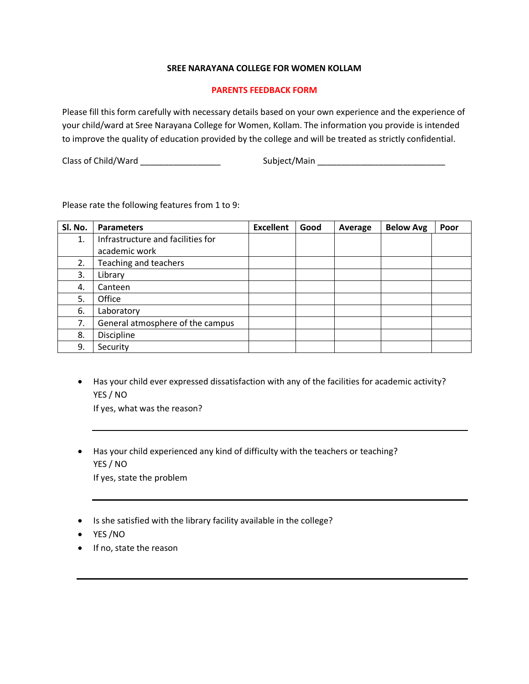### **PARENTS FEEDBACK FORM**

Please fill this form carefully with necessary details based on your own experience and the experience of your child/ward at Sree Narayana College for Women, Kollam. The information you provide is intended to improve the quality of education provided by the college and will be treated as strictly confidential.

Class of Child/Ward **Example 2018** Subject/Main

Please rate the following features from 1 to 9:

| Sl. No. | <b>Parameters</b>                 | <b>Excellent</b> | Good | Average | <b>Below Avg</b> | Poor |
|---------|-----------------------------------|------------------|------|---------|------------------|------|
| 1.      | Infrastructure and facilities for |                  |      |         |                  |      |
|         | academic work                     |                  |      |         |                  |      |
| 2.      | Teaching and teachers             |                  |      |         |                  |      |
| 3.      | Library                           |                  |      |         |                  |      |
| 4.      | Canteen                           |                  |      |         |                  |      |
| 5.      | Office                            |                  |      |         |                  |      |
| 6.      | Laboratory                        |                  |      |         |                  |      |
| 7.      | General atmosphere of the campus  |                  |      |         |                  |      |
| 8.      | Discipline                        |                  |      |         |                  |      |
| 9.      | Security                          |                  |      |         |                  |      |

- Has your child ever expressed dissatisfaction with any of the facilities for academic activity? YES / NO If yes, what was the reason?
- Has your child experienced any kind of difficulty with the teachers or teaching? YES / NO If yes, state the problem
- Is she satisfied with the library facility available in the college?
- YES /NO
- If no, state the reason